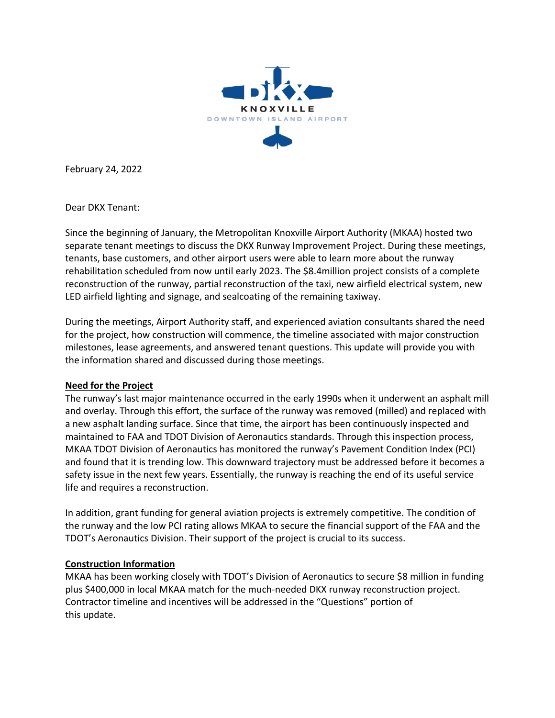

February 24, 2022

Dear DKX Tenant:

Since the beginning of January, the Metropolitan Knoxville Airport Authority (MKAA) hosted two separate tenant meetings to discuss the DKX Runway Improvement Project. During these meetings, tenants, base customers, and other airport users were able to learn more about the runway rehabilitation scheduled from now until early 2023. The \$8.4million project consists of a complete reconstruction of the runway, partial reconstruction of the taxi, new airfield electrical system, new LED airfield lighting and signage, and sealcoating of the remaining taxiway.

During the meetings, Airport Authority staff, and experienced aviation consultants shared the need for the project, how construction will commence, the timeline associated with major construction milestones, lease agreements, and answered tenant questions. This update will provide you with the information shared and discussed during those meetings.

## **Need for the Project**

The runway's last major maintenance occurred in the early 1990s when it underwent an asphalt mill and overlay. Through this effort, the surface of the runway was removed (milled) and replaced with a new asphalt landing surface. Since that time, the airport has been continuously inspected and maintained to FAA and TDOT Division of Aeronautics standards. Through this inspection process, MKAA TDOT Division of Aeronautics has monitored the runway's Pavement Condition Index (PCI) and found that it is trending low. This downward trajectory must be addressed before it becomes a safety issue in the next few years. Essentially, the runway is reaching the end of its useful service life and requires a reconstruction.

In addition, grant funding for general aviation projects is extremely competitive. The condition of the runway and the low PCI rating allows MKAA to secure the financial support of the FAA and the TDOT's Aeronautics Division. Their support of the project is crucial to its success.

## **Construction Information**

MKAA has been working closely with TDOT's Division of Aeronautics to secure \$8 million in funding plus \$400,000 in local MKAA match for the much-needed DKX runway reconstruction project. Contractor timeline and incentives will be addressed in the "Questions" portion of this update.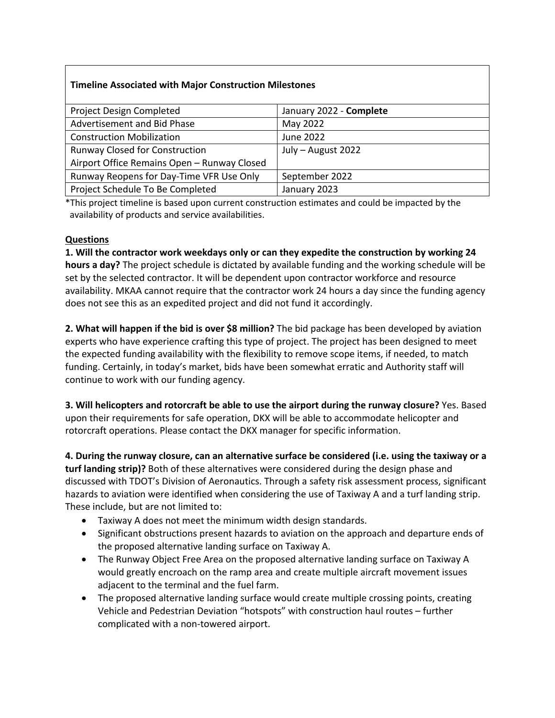## **Timeline Associated with Major Construction Milestones**

| <b>Project Design Completed</b>             | January 2022 - Complete |
|---------------------------------------------|-------------------------|
| Advertisement and Bid Phase                 | May 2022                |
| <b>Construction Mobilization</b>            | June 2022               |
| <b>Runway Closed for Construction</b>       | July - August 2022      |
| Airport Office Remains Open - Runway Closed |                         |
| Runway Reopens for Day-Time VFR Use Only    | September 2022          |
| Project Schedule To Be Completed            | January 2023            |

\*This project timeline is based upon current construction estimates and could be impacted by the availability of products and service availabilities.

## **Questions**

**1. Will the contractor work weekdays only or can they expedite the construction by working 24 hours a day?** The project schedule is dictated by available funding and the working schedule will be set by the selected contractor. It will be dependent upon contractor workforce and resource availability. MKAA cannot require that the contractor work 24 hours a day since the funding agency does not see this as an expedited project and did not fund it accordingly.

**2. What will happen if the bid is over \$8 million?** The bid package has been developed by aviation experts who have experience crafting this type of project. The project has been designed to meet the expected funding availability with the flexibility to remove scope items, if needed, to match funding. Certainly, in today's market, bids have been somewhat erratic and Authority staff will continue to work with our funding agency.

**3. Will helicopters and rotorcraft be able to use the airport during the runway closure?** Yes. Based upon their requirements for safe operation, DKX will be able to accommodate helicopter and rotorcraft operations. Please contact the DKX manager for specific information.

**4. During the runway closure, can an alternative surface be considered (i.e. using the taxiway or a turf landing strip)?** Both of these alternatives were considered during the design phase and discussed with TDOT's Division of Aeronautics. Through a safety risk assessment process, significant hazards to aviation were identified when considering the use of Taxiway A and a turf landing strip. These include, but are not limited to:

- Taxiway A does not meet the minimum width design standards.
- Significant obstructions present hazards to aviation on the approach and departure ends of the proposed alternative landing surface on Taxiway A.
- The Runway Object Free Area on the proposed alternative landing surface on Taxiway A would greatly encroach on the ramp area and create multiple aircraft movement issues adjacent to the terminal and the fuel farm.
- The proposed alternative landing surface would create multiple crossing points, creating Vehicle and Pedestrian Deviation "hotspots" with construction haul routes – further complicated with a non-towered airport.